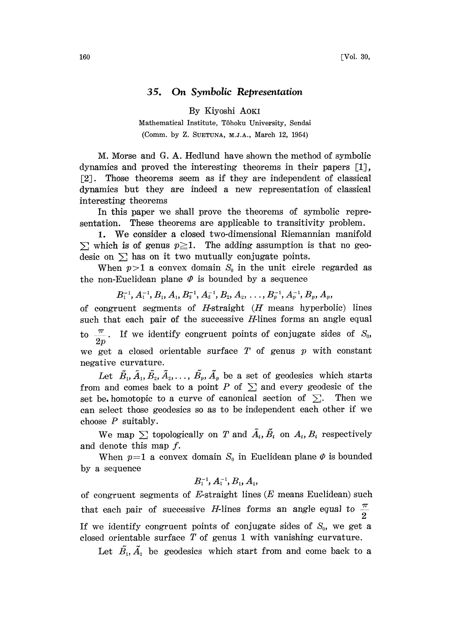## 35. On Symbolic Representation

By Kiyoshi AOKI

Mathematical Institute, Tôhoku University, Sendai (Comm. by Z. SUETUNA, M.J.A., March 12, 1954)

M:. Morse and G. A. Hedlund have shown the method of symbolic dynamics and proved the interesting theorems in their papers [1], [2J. Those theorems seem as if they are independent of classical dynamics but they are indeed a new representation of classical interesting theorems

In this paper we shall prove the theorems of symbolic representation. These theorems are applicable to transitivity problem.

1. We consider <sup>a</sup> closed two-dimensional Riemannian manifold  $\Sigma$  which is of genus  $p \geq 1$ . The adding assumption is that no geodesic on  $\Sigma$  has on it two mutually conjugate points.

When  $p>1$  a convex domain  $S_0$  in the unit circle regarded as the non-Euclidean plane  $\varPhi$  is bounded by a sequence

 $B_1^{-1}, A_1^{-1}, B_1, A_1, B_2^{-1}, A_2^{-1}, B_2, A_2, \ldots, B_p^{-1}, A_p^{-1}, B_p, A_p,$ 

of congruent segments of  $H$ -straight  $(H$  means hyperbolic) lines such that each pair of the successive *H*-lines forms an angle equal to  $\frac{\pi}{2p}$ . If we identify congruent points of conjugate sides of  $S_0$ , we get a closed orientable surface  $T$  of genus  $p$  with constant negative curvature.

Let  $\tilde{B}_1$ ,  $\tilde{A}_1$ ,  $\tilde{B}_2$ ,  $\tilde{A}_2$ , ...,  $\tilde{B}_p$ ,  $\tilde{A}_p$  be a set of geodesics which starts from and comes back to a point P of  $\Sigma$  and every geodesic of the set be homotopic to a curve of canonical section of  $\Sigma$ . Then we can select those geodesics so as to be independent each other if we choose  $P$  suitably.

We map  $\sum$  topologically on T and  $\tilde{A}_i$ ,  $\tilde{B}_i$  on  $A_i$ ,  $B_i$  respectively and denote this map f.

When  $p=1$  a convex domain  $S_0$  in Euclidean plane  $\varphi$  is bounded by a sequence

## $B_1^{-1}, A_1^{-1}, B_1, A_1,$

of congruent segments of E-straight lines  $(E$  means Euclidean) such that each pair of successive *H*-lines forms an angle equal to  $\frac{\pi}{2}$ If we identify congruent points of conjugate sides of  $S_0$ , we get a closed orientable surface  $T$  of genus 1 with vanishing curvature.

Let  $\tilde{B_1}, \tilde{A_1}$  be geodesics which start from and come back to a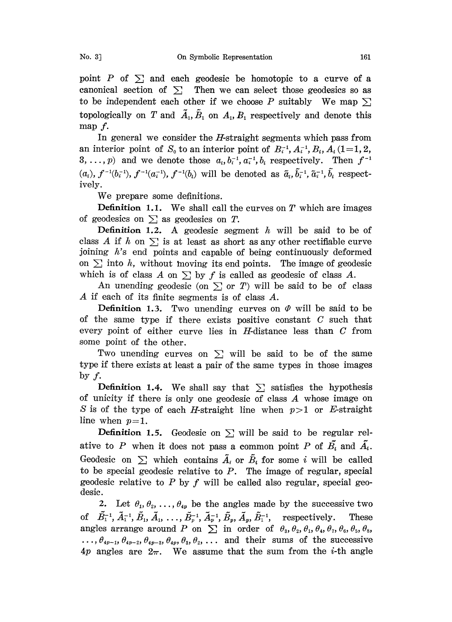point P of  $\Sigma$  and each geodesic be homotopic to a curve of a canonical section of  $\Sigma$  Then we can select those geodesics so as to be independent each other if we choose P suitably We map  $\Sigma$ topologically on T and  $\tilde{A}_1$ ,  $\tilde{B}_1$  on  $A_1$ ,  $B_1$  respectively and denote this map  $f$ .

In general we consider the *H*-straight segments which pass from an interior point of  $S_0$  to an interior point of  $B_i^{-1}, A_i^{-1}, B_i, A_i$  (1=1, 2, 3, ..., p) and we denote those  $a_i, b_i^{-1}, a_i^{-1}, b_i$  respectively. Then  $f^{-1}$  $(a_i)$ ,  $f^{-1}(b_i^{-1})$ ,  $f^{-1}(a_i^{-1})$ ,  $f^{-1}(b_i)$  will be denoted as  $\tilde{a}_i, \tilde{b}_i^{-1}, \tilde{a}_i^{-1}, \tilde{b}_i$  respectively.

We prepare some definitions.

**Definition 1.1.** We shall call the curves on  $T$  which are images of geodesics on  $\Sigma$  as geodesics on T.

**Definition 1.2.** A geodesic segment  $h$  will be said to be of class A if h on  $\Sigma$  is at least as short as any other rectifiable curve joining h's end points and capable of being continuously deformed on  $\Sigma$  into h, without moving its end points. The image of geodesic which is of class A on  $\sum$  by f is called as geodesic of class A.

An unending geodesic (on  $\Sigma$  or T) will be said to be of class A if each of its finite segments is of class A.

**Definition 1.3.** Two unending curves on  $\varPhi$  will be said to be of the same type if there exists positive constant  $C$  such that every point of either curve lies in H-distance less than C from some point of the other.

Two unending curves on  $\Sigma$  will be said to be of the same type if there exists at least a pair of the same types in those images by  $f$ .

**Definition 1.4.** We shall say that  $\Sigma$  satisfies the hypothesis of unicity if there is only one geodesic of class  $A$  whose image on S is of the type of each *H*-straight line when  $p>1$  or *E*-straight line when  $p=1$ .

**Definition 1.5.** Geodesic on  $\Sigma$  will be said to be regular relative to P when it does not pass a common point P of  $\tilde{B_i}$  and  $\tilde{A_i}$ . Geodesic on  $\sum$  which contains  $\tilde{A}_i$  or  $\tilde{B}_i$  for some i will be called to be special geodesic relative to  $P$ . The image of regular, special geodesic relative to P by f will be called also regular, special geodesie.

2. Let  $\theta_1, \theta_2, \ldots, \theta_{4p}$  be the angles made by the successive two of  $\tilde{B}_1^{-1}, \tilde{A}_1^{-1}, \tilde{B}_1, \tilde{A}_1, \ldots, \tilde{B}_p^{-1}, \tilde{A}_p^{-1}, \tilde{B}_p, \tilde{A}_p, \tilde{B}_1^{-1}$ , respectively. These angles arrange around P on  $\sum$  in order of  $\theta_3$ ,  $\theta_2$ ,  $\theta_1$ ,  $\theta_4$ ,  $\theta_7$ ,  $\theta_6$ ,  $\theta_5$ ,  $\theta_8$ ,  $\ldots, \theta_{4p-1}, \theta_{4p-2}, \theta_{4p-3}, \theta_{4p}, \theta_3, \theta_2, \ldots$  and their sums of the successive 4p angles are  $2\pi$ . We assume that the sum from the *i*-th angle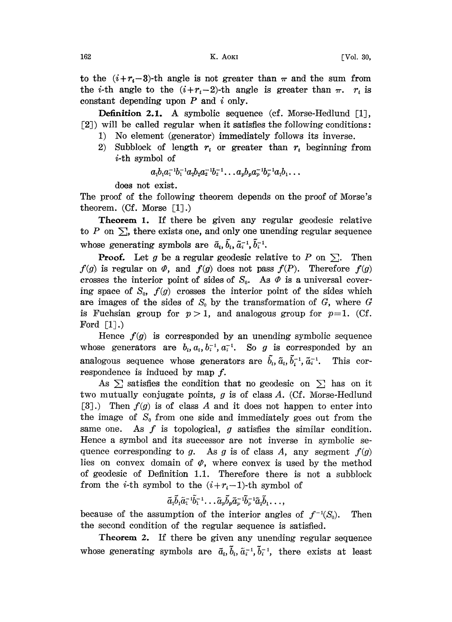to the  $(i+r_i-3)$ -th angle is not greater than  $\pi$  and the sum from the *i*-th angle to the  $(i+r_i-2)$ -th angle is greater than  $\pi$ .  $r_i$  is constant depending upon  $P$  and  $i$  only.

Definition 2.1. A symbolic sequence (cf. Morse-Hedlund [1], [2]) will be called regular when it satisfies the following conditions:

- 1) No element (generator) immediately follows its inverse.
- 2) Subblock of length  $r_i$  or greater than  $r_i$  beginning from i-th symbol of

$$
a_1b_1a_1^{-1}b_1^{-1}a_2b_2a_2^{-1}b_2^{-1}\ldots a_pb_pa_p^{-1}b_p^{-1}a_1b_1\ldots
$$

does not exist.

The proof of the following theorem depends on the proof of Morse's theorem.  $(Cf.$  Morse  $[1].$ 

Theorem 1. If there be given any regular geodesic relative to P on  $\Sigma$ , there exists one, and only one unending regular sequence whose generating symbols are  $\tilde{a}_i$ ,  $\tilde{b}_i$ ,  $\tilde{a}_i^{-1}$ ,  $\tilde{b}_i^{-1}$ .

**Proof.** Let g be a regular geodesic relative to P on  $\Sigma$ . Then  $f(g)$  is regular on  $\varPhi$ , and  $f(g)$  does not pass  $f(P)$ . Therefore  $f(g)$ crosses the interior point of sides of  $S_0$ . As  $\varPhi$  is a universal covering space of  $S_0$ ,  $f(g)$  crosses the interior point of the sides which are images of the sides of  $S_0$  by the transformation of G, where G is Fuchsian group for  $p > 1$ , and analogous group for  $p=1$ . (Cf. Ford  $\lceil 1 \rceil$ .)

Hence  $f(g)$  is corresponded by an unending symbolic sequence whose generators are  $b_i$ ,  $a_i$ ,  $b_i^{-1}$ ,  $a_i^{-1}$ . So g is corresponded by an analogous sequence whose generators are  $\tilde{b}_i$ ,  $\tilde{a}_i$ ,  $\tilde{b}_i^{-1}$ ,  $\tilde{a}_i^{-1}$ . This correspondence is induced by map  $f$ .

As  $\Sigma$  satisfies the condition that no geodesic on  $\Sigma$  has on it two mutually conjugate points,  $g$  is of class  $A$ . (Cf. Morse-Hedlund [3].) Then  $f(g)$  is of class A and it does not happen to enter into the image of  $S_0$  from one side and immediately goes out from the same one. As  $f$  is topological,  $g$  satisfies the similar condition. Hence a symbol and its successor are not inverse in symbolic sequence corresponding to g. As g is of class A, any segment  $f(g)$ lies on convex domain of  $\varphi$ , where convex is used by the method of geodesic of Definition 1.1. Therefore there is not a subblock from the *i*-th symbol to the  $(i + r_i-1)$ -th symbol of

$$
\tilde{a}_1\tilde{b}_1\tilde{a}_1^{-1}\tilde{b}_1^{-1}\dots \tilde{a}_p\tilde{b}_p\tilde{a}_p^{-1}\tilde{b}_p^{-1}\tilde{a}_1\tilde{b}_1\dots,
$$

because of the assumption of the interior angles of  $f^{-1}(S_0)$ . Then the second condition of the regular sequence is satisfied.

Theorem 2. If there be given any unending regular sequence whose generating symbols are  $\tilde{a}_i$ ,  $\tilde{b}_i$ ,  $\tilde{a}_i^{-1}$ ,  $\tilde{b}_i^{-1}$ , there exists at least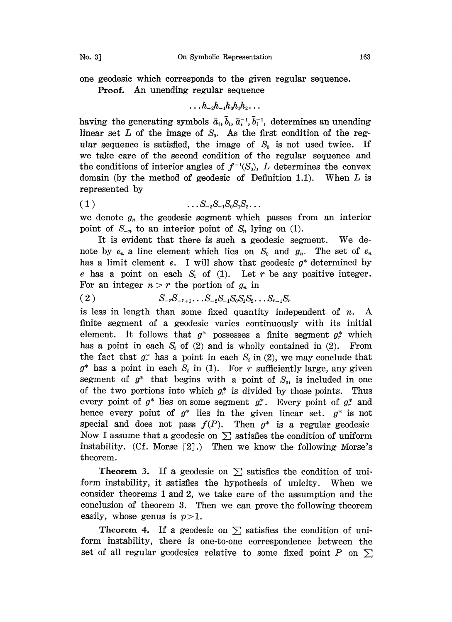one geodesic which corresponds to the given regular sequence.

Proof. An unending regular sequence

 $\ldots h_{-2}h_{-1}h_0h_1h_2\ldots$ 

having the generating symbols  $\tilde{a}_i$ ,  $\tilde{b}_i$ ,  $\tilde{a}_i^{-1}$ ,  $\tilde{b}_i^{-1}$ , determines an unending linear set L of the image of  $S_0$ . As the first condition of the regular sequence is satisfied, the image of  $S_0$  is not used twice. If we take care of the second condition of the regular sequence and the conditions of interior angles of  $f^{-1}(S_0)$ , L determines the convex domain (by the method of geodesic of Definition 1.1). When  $L$  is represented by

$$
(1) \qquad \qquad \ldots S_{-2} S_{-1} S_0 S_1 S_2 \ldots
$$

we denote  $g_n$  the geodesic segment which passes from an interior point of  $S_{-n}$  to an interior point of  $S_n$  lying on (1).

It is evident that there is such a geodesic segment. We denote by  $e_n$  a line element which lies on  $S_0$  and  $g_n$ . The set of  $e_n$ has a limit element e. I will show that geodesic  $g^*$  determined by e has a point on each  $S_i$  of (1). Let r be any positive integer. For an integer  $n > r$  the portion of  $g_n$  in

( 2 )  $S_{-r}S_{-r+1}\dots S_{-2}S_{-1}S_0S_1S_2\dots S_{r-1}S_r$ 

is less in length than some fixed quantity independent of  $n$ . A finite segment of a geodesic varies continuously with its initial element. It follows that  $g^*$  possesses a finite segment  $g^*$  which has a point in each  $S_i$  of (2) and is wholly contained in (2). From the fact that  $g_r^*$  has a point in each  $S_i$  in (2), we may conclude that  $g^*$  has a point in each  $S_i$  in (1). For r sufficiently large, any given segment of  $g^*$  that begins with a point of  $S_0$ , is included in one of the two portions into which  $g_r^*$  is divided by those points. Thus every point of  $g^*$  lies on some segment  $g^*_r$ . Every point of  $g^*_r$  and hence every point of  $g^*$  lies in the given linear set.  $g^*$  is not special and does not pass  $f(P)$ . Then  $g^*$  is a regular geodesic Now I assume that a geodesic on  $\Sigma$  satisfies the condition of uniform instability. (Cf. Morse  $[2]$ .) Then we know the following Morse's theorem.

**Theorem 3.** If a geodesic on  $\Sigma$  satisfies the condition of uniform instability, it satisfies the hypothesis of unicity. When we consider theorems <sup>1</sup> and 2, we take care of the assumption and the conclusion of theorem 3. Then we can prove the following theorem easily, whose genus is  $p>1$ .

**Theorem 4.** If a geodesic on  $\Sigma$  satisfies the condition of uniform instability, there is one-to-one correspondence between the set of all regular geodesics relative to some fixed point P on  $\Sigma$